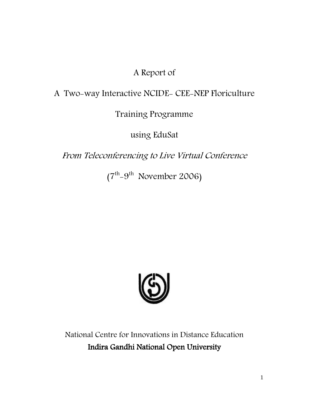# A Report of

# A Two-way Interactive NCIDE- CEE-NEP Floriculture

Training Programme

using EduSat

From Teleconferencing to Live Virtual Conference

 $(7<sup>th</sup>-9<sup>th</sup>$  November 2006)



National Centre for Innovations in Distance Education Indira Gandhi National Open University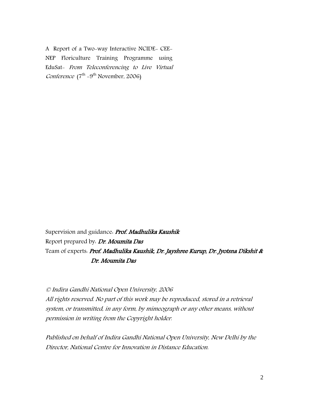A Report of a Two-way Interactive NCIDE- CEE-NEP Floriculture Training Programme using EduSat- From Teleconferencing to Live Virtual *Conference* ( $7^{th}$  -9<sup>th</sup> November, 2006)

Supervision and guidance. Prof. Madhulika Kaushik Report prepared by Dr. Moumita Das Team of experts. Prof. Madhulika Kaushik, Dr. Jayshree Kurup, Dr. Jyotsna Dikshit & Dr. Moumita Das

© Indira Gandhi National Open University, 2006

All rights reserved. No part of this work may be reproduced, stored in a retrieval system, or transmitted, in any form, by mimeograph or any other means, without permission in writing from the Copyright holder.

Published on behalf of Indira Gandhi National Open University, New Delhi by the Director, National Centre for Innovation in Distance Education.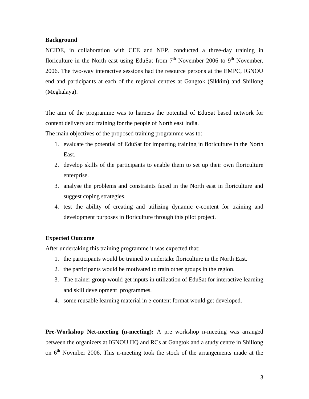### **Background**

NCIDE, in collaboration with CEE and NEP, conducted a three-day training in floriculture in the North east using EduSat from  $7<sup>th</sup>$  November 2006 to 9<sup>th</sup> November, 2006. The two-way interactive sessions had the resource persons at the EMPC, IGNOU end and participants at each of the regional centres at Gangtok (Sikkim) and Shillong (Meghalaya).

The aim of the programme was to harness the potential of EduSat based network for content delivery and training for the people of North east India.

The main objectives of the proposed training programme was to:

- 1. evaluate the potential of EduSat for imparting training in floriculture in the North East.
- 2. develop skills of the participants to enable them to set up their own floriculture enterprise.
- 3. analyse the problems and constraints faced in the North east in floriculture and suggest coping strategies.
- 4. test the ability of creating and utilizing dynamic e-content for training and development purposes in floriculture through this pilot project.

## **Expected Outcome**

After undertaking this training programme it was expected that:

- 1. the participants would be trained to undertake floriculture in the North East.
- 2. the participants would be motivated to train other groups in the region.
- 3. The trainer group would get inputs in utilization of EduSat for interactive learning and skill development programmes.
- 4. some reusable learning material in e-content format would get developed.

**Pre-Workshop Net-meeting (n-meeting):** A pre workshop n-meeting was arranged between the organizers at IGNOU HQ and RCs at Gangtok and a study centre in Shillong on 6<sup>th</sup> Novmber 2006. This n-meeting took the stock of the arrangements made at the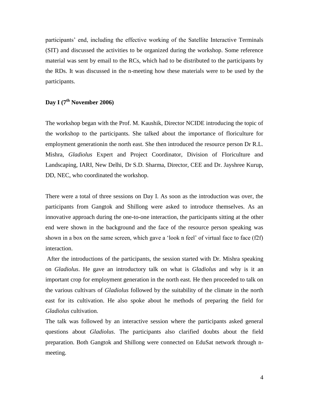participants' end, including the effective working of the Satellite Interactive Terminals (SIT) and discussed the activities to be organized during the workshop. Some reference material was sent by email to the RCs, which had to be distributed to the participants by the RDs. It was discussed in the n-meeting how these materials were to be used by the participants.

# **Day I (7th November 2006)**

The workshop began with the Prof. M. Kaushik, Director NCIDE introducing the topic of the workshop to the participants. She talked about the importance of floriculture for employment generationin the north east. She then introduced the resource person Dr R.L. Mishra, *Gladiolus* Expert and Project Coordinator, Division of Floriculture and Landscaping, IARI, New Delhi, Dr S.D. Sharma, Director, CEE and Dr. Jayshree Kurup, DD, NEC, who coordinated the workshop.

There were a total of three sessions on Day I. As soon as the introduction was over, the participants from Gangtok and Shillong were asked to introduce themselves. As an innovative approach during the one-to-one interaction, the participants sitting at the other end were shown in the background and the face of the resource person speaking was shown in a box on the same screen, which gave a 'look n feel' of virtual face to face (f2f) interaction.

After the introductions of the participants, the session started with Dr. Mishra speaking on *Gladiolus*. He gave an introductory talk on what is *Gladiolus* and why is it an important crop for employment generation in the north east. He then proceeded to talk on the various cultivars of *Gladiolus* followed by the suitability of the climate in the north east for its cultivation. He also spoke about he methods of preparing the field for *Gladiolus* cultivation.

The talk was followed by an interactive session where the participants asked general questions about *Gladiolus*. The participants also clarified doubts about the field preparation. Both Gangtok and Shillong were connected on EduSat network through nmeeting.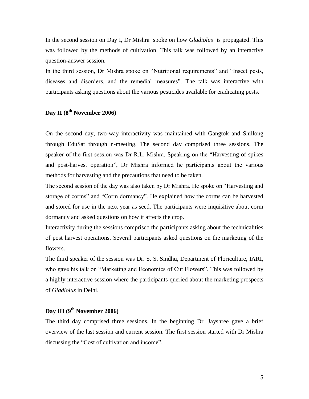In the second session on Day I, Dr Mishra spoke on how *Gladiolus* is propagated. This was followed by the methods of cultivation. This talk was followed by an interactive question-answer session.

In the third session, Dr Mishra spoke on "Nutritional requirements" and "Insect pests, diseases and disorders, and the remedial measures". The talk was interactive with participants asking questions about the various pesticides available for eradicating pests.

## **Day II (8th November 2006)**

On the second day, two-way interactivity was maintained with Gangtok and Shillong through EduSat through n-meeting. The second day comprised three sessions. The speaker of the first session was Dr R.L. Mishra. Speaking on the "Harvesting of spikes and post-harvest operation", Dr Mishra informed he participants about the various methods for harvesting and the precautions that need to be taken.

The second session of the day was also taken by Dr Mishra. He spoke on "Harvesting and storage of corms" and "Corm dormancy". He explained how the corms can be harvested and stored for use in the next year as seed. The participants were inquisitive about corm dormancy and asked questions on how it affects the crop.

Interactivity during the sessions comprised the participants asking about the technicalities of post harvest operations. Several participants asked questions on the marketing of the flowers.

The third speaker of the session was Dr. S. S. Sindhu, Department of Floriculture, IARI, who gave his talk on "Marketing and Economics of Cut Flowers". This was followed by a highly interactive session where the participants queried about the marketing prospects of *Gladiolus* in Delhi.

## **Day III (9th November 2006)**

The third day comprised three sessions. In the beginning Dr. Jayshree gave a brief overview of the last session and current session. The first session started with Dr Mishra discussing the "Cost of cultivation and income".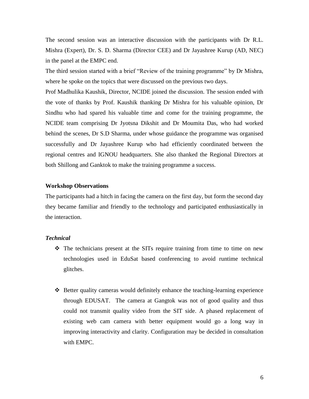The second session was an interactive discussion with the participants with Dr R.L. Mishra (Expert), Dr. S. D. Sharma (Director CEE) and Dr Jayashree Kurup (AD, NEC) in the panel at the EMPC end.

The third session started with a brief "Review of the training programme" by Dr Mishra, where he spoke on the topics that were discussed on the previous two days.

Prof Madhulika Kaushik, Director, NCIDE joined the discussion. The session ended with the vote of thanks by Prof. Kaushik thanking Dr Mishra for his valuable opinion, Dr Sindhu who had spared his valuable time and come for the training programme, the NCIDE team comprising Dr Jyotsna Dikshit and Dr Moumita Das, who had worked behind the scenes, Dr S.D Sharma, under whose guidance the programme was organised successfully and Dr Jayashree Kurup who had efficiently coordinated between the regional centres and IGNOU headquarters. She also thanked the Regional Directors at both Shillong and Ganktok to make the training programme a success.

#### **Workshop Observations**

The participants had a hitch in facing the camera on the first day, but form the second day they became familiar and friendly to the technology and participated enthusiastically in the interaction.

#### *Technical*

- $\hat{\mathbf{v}}$  The technicians present at the SITs require training from time to time on new technologies used in EduSat based conferencing to avoid runtime technical glitches.
- $\triangle$  Better quality cameras would definitely enhance the teaching-learning experience through EDUSAT. The camera at Gangtok was not of good quality and thus could not transmit quality video from the SIT side. A phased replacement of existing web cam camera with better equipment would go a long way in improving interactivity and clarity. Configuration may be decided in consultation with EMPC.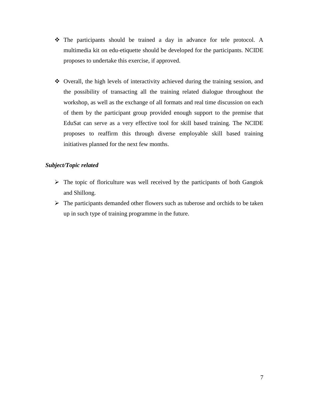- The participants should be trained a day in advance for tele protocol. A multimedia kit on edu-etiquette should be developed for the participants. NCIDE proposes to undertake this exercise, if approved.
- Overall, the high levels of interactivity achieved during the training session, and the possibility of transacting all the training related dialogue throughout the workshop, as well as the exchange of all formats and real time discussion on each of them by the participant group provided enough support to the premise that EduSat can serve as a very effective tool for skill based training. The NCIDE proposes to reaffirm this through diverse employable skill based training initiatives planned for the next few months.

## *Subject/Topic related*

- $\triangleright$  The topic of floriculture was well received by the participants of both Gangtok and Shillong.
- $\triangleright$  The participants demanded other flowers such as tuberose and orchids to be taken up in such type of training programme in the future.